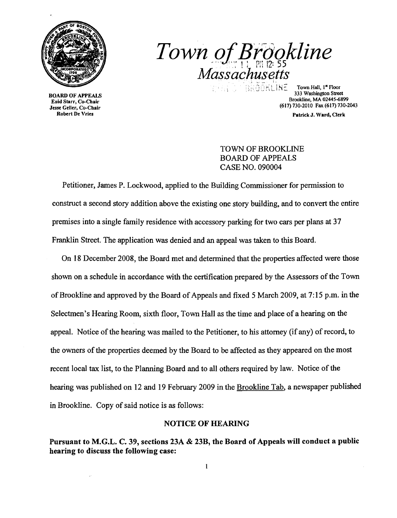

Robert De Vries **Patrick J. Ward, Clerk** Christian Christian Christian Christian Christian Patrick J. Ward, Clerk

*Town of Brookline Massachusetts* . , ." ., 'i ~ IN:: Town Hall, I" Floor ~ ) '-' I \

**333 Washington Street**<br> **333 Washington Street**<br> **333 Washington Street**<br> **333 Washington Street**<br> **333 Washington Street**<br> **333 Washington Street**<br> **333 Washington Street**<br> **Enid Starr, Co-Chair**<br> **Enid Starr, Co-Chair**<br> (617) 730-2010 Fax (617) 730-2043

## TOWN OF BROOKLINE BOARD OF APPEALS CASE NO. 090004

Petitioner, James P. Lockwood, applied to the Building Commissioner for pennission to construct a second story addition above the existing one story building, and to convert the entire premises into a single family residence with accessory parking for two cars per plans at 37 Franklin Street. The application was denied and an appeal was taken to this Board.

On 18 December 2008, the Board met and detennined that the properties affected were those shown on a schedule in accordance with the certification prepared by the Assessors of the Town of Brookline and approved by the Board of Appeals and fixed 5 March 2009, at 7:15 p.m. in the Selectmen's Hearing Room, sixth floor, Town Hall as the time and place of a hearing on the appeal. Notice of the hearing was mailed to the Petitioner, to his attorney (if any) of record, to the owners of the properties deemed by the Board to be affected as they appeared on the most recent local tax list, to the Planning Board and to all others required by law. Notice of the hearing was published on 12 and 19 February 2009 in the Brookline Tab, a newspaper published in Brookline. Copy of said notice is as follows:

## NOTICE OF HEARING

Pursuant to M.G.L. C. 39, sections 23A & 23B, the Board of Appeals will conduct a public hearing to discuss the following case: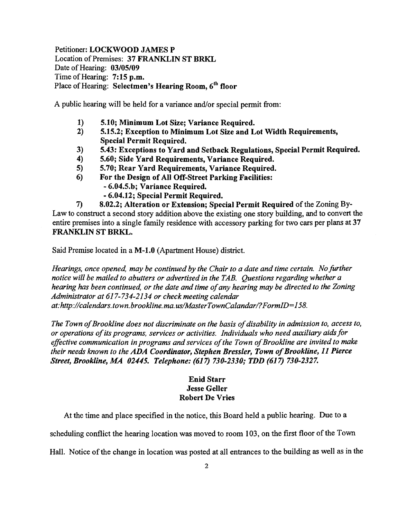Petitioner: LOCKWOOD JAMES P Location of Premises: 37 FRANKLIN ST BRKL Date of Hearing: 03/05/09 Time of Hearing: 7:15 p.m. Place of Hearing: Selectmen's Hearing Room, 6<sup>th</sup> floor

A public hearing will be held for a variance and/or special permit from:

- 1) 5.10; Minimum Lot Size; Variance Required.<br>2) 5.15.2; Exception to Minimum Lot Size and L
- 2) 5.15.2; Exception to Minimum Lot Size and Lot Width Requirements, Special Permit Required.
- 3) 5.43: Exceptions to Yard and Setback Regulations, Special Permit Required.
- 4) 5.60; Side Yard Requirements, Variance Required.
- 5) 5.70; Rear Yard Requirements, Variance Required.
- 6) For the Design of All Off-Street Parking Facilities:
	- 6.04.5.b; Variance Required.
	- 6.04.12; Special Permit Required.

7) 8.02.2; Alteration or Extension; Special Permit Required of the Zoning By-Law to construct a second story addition above the existing one story building, and to convert the entire premises into a single family residence with accessory parking for two cars per plans at 37 FRANKLIN ST BRKL.

Said Premise located in a M-l.0 (Apartment House) district.

*Hearings, once opened, may be continued by the Chair to a date and time certain. No further notice will be mailed to abutters or advertised in the TAB. Questions regarding whether a hearing has been continued, or the date and time ofany hearing may be directed to the Zoning Administrator at* 617-734-2134 *or check meeting calendar at: http://calendars.town.brookline.ma.usIMasterTownCalandarl? FormID= 158.* 

The Town of Brookline does not discriminate on the basis of disability in admission to, access to, *or operations ofits programs, services or activities. Individuals who need auxiliary aids for*  effective communication in programs and services of the Town of Brookline are invited to make *their needs known to the* ADA *Coordinator, Stephen Bressler, Town ofBrookline,* 11 *Pierce Street, Brookline, MA 02445. Telephone:* (617) *730-2330; TDD* (617) *730-2327.* 

## Enid Starr Jesse Geller Robert De Vries

At the time and place specified in the notice, this Board held a public hearing. Due to a

scheduling conflict the hearing location was moved to room 103, on the first floor of the Town

Hall. Notice of the change in location was posted at all entrances to the building as well as in the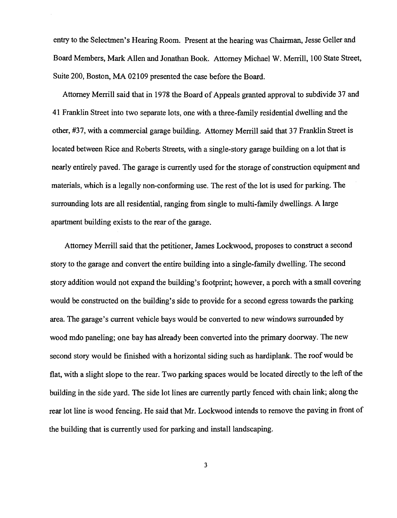entry to the Selectmen's Hearing Room. Present at the hearing was Chairman, Jesse Geller and Board Members, Mark Allen and Jonathan Book. Attorney Michael W. Merrill, 100 State Street, Suite 200, Boston, MA 02109 presented the case before the Board.

Attorney Merrill said that in 1978 the Board of Appeals granted approval to subdivide 37 and 41 Franklin Street into two separate lots, one with a three-family residential dwelling and the other, #37, with a commercial garage building. Attorney Merrill said that 37 Franklin Street is located between Rice and Roberts Streets, with a single-story garage building on a lot that is nearly entirely paved. The garage is currently used for the storage of construction equipment and materials, which is a legally non-conforming use. The rest of the lot is used for parking. The surrounding lots are all residential, ranging from single to multi-family dwellings. A large apartment building exists to the rear of the garage.

Attorney Merrill said that the petitioner, James Lockwood, proposes to construct a second story to the garage and convert the entire building into a single-family dwelling. The second story addition would not expand the building's footprint; however, a porch with a small covering would be constructed on the building's side to provide for a second egress towards the parking area. The garage's current vehicle bays would be converted to new windows surrounded by wood mdo paneling; one bay has already been converted into the primary doorway. The new second story would be finished with a horizontal siding such as hardiplank. The roof would be flat, with a slight slope to the rear. Two parking spaces would be located directly to the left of the building in the side yard. The side lot lines are currently partly fenced with chain link; along the rear lot line is wood fencing. He said that Mr. Lockwood intends to remove the paving in front of the building that is currently used for parking and install landscaping.

3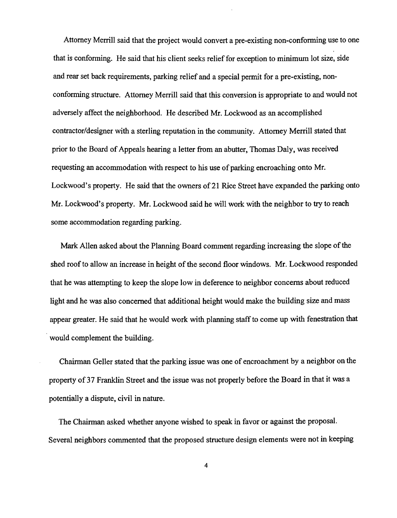Attorney Merrill said that the project would convert a pre-existing non-conforming use to one that is conforming. He said that his client seeks relief for exception to minimum lot size, side and rear set back requirements, parking relief and a special permit for a pre-existing, nonconforming structure. Attorney Merrill said that this conversion is appropriate to and would not adversely affect the neighborhood. He described Mr. Lockwood as an accomplished contractor/designer with a sterling reputation in the community. Attorney Merrill stated that prior to the Board of Appeals hearing a letter from an abutter, Thomas Daly, was received requesting an accommodation with respect to his use of parking encroaching onto Mr. Lockwood's property. He said that the owners of 21 Rice Street have expanded the parking onto Mr. Lockwood's property. Mr. Lockwood said he will work with the neighbor to try to reach some accommodation regarding parking.

Mark Allen asked about the Planning Board comment regarding increasing the slope of the shed roof to allow an increase in height of the second floor windows. Mr. Lockwood responded that he was attempting to keep the slope low in deference to neighbor concerns about reduced light and he was also concerned that additional height would make the building size and mass appear greater. He said that he would work with planning staff to come up with fenestration that would complement the building.

Chairman Geller stated that the parking issue was one of encroachment by a neighbor on the property of 37 Franklin Street and the issue was not properly before the Board in that it was a potentially a dispute, civil in nature.

The Chairman asked whether anyone wished to speak in favor or against the proposal. Several neighbors commented that the proposed structure design elements were not in keeping

4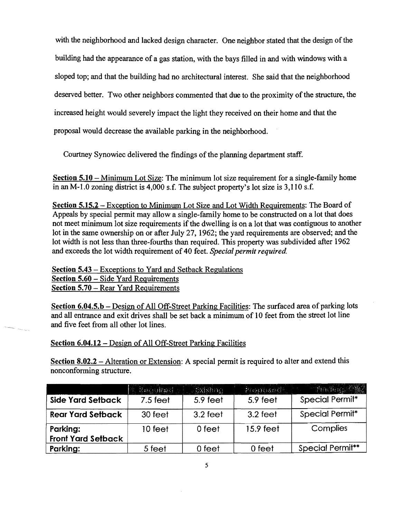with the neighborhood and lacked design character. One neighbor stated that the design of the building had the appearance of a gas station, with the bays filled in and with windows with a sloped top; and that the building had no architectural interest. She said that the neighborhood deserved better. Two other neighbors commented that due to the proximity of the structure, the increased height would severely impact the light they received on their home and that the proposal would decrease the available parking in the neighborhood.

Courtney Synowiec delivered the findings of the planning department staff.

Section 5.10 – Minimum Lot Size: The minimum lot size requirement for a single-family home in an M-1.0 zoning district is  $4,000$  s.f. The subject property's lot size is  $3,110$  s.f.

Section 5.15.2 - Exception to Minimwn Lot Size and Lot Width Requirements: The Board of Appeals by special permit may allow a single-family home to be constructed on a lot that does not meet minimum lot size requirements if the dwelling is on a lot that was contiguous to another lot in the same ownership on or after July 27, 1962; the yard requirements are observed; and the lot width is not less than three-fourths than required. This property was subdivided after 1962 and exceeds the lot width requirement of 40 feet. *Special permit required*.

Section 5.43 - Exceptions to Yard and Setback Regulations Section 5.60 - Side Yard Requirements Section 5.70 – Rear Yard Requirements

Section 6.04.5.b – Design of All Off-Street Parking Facilities: The surfaced area of parking lots and all entrance and exit drives shall be set back a minimum of 10 feet from the street lot line and five feet from all other lot lines.

## Section 6.04.12 - Design of All Off-Street Parking Facilities

Section 8.02.2 – Alteration or Extension: A special permit is required to alter and extend this nonconforming structure.

|                                       | <b>大 Kequired 人 Listaning</b> |          | Proposed . | The first County        |
|---------------------------------------|-------------------------------|----------|------------|-------------------------|
| Side Yard Setback                     | $7.5$ feet                    | 5.9 feet | 5.9 feet   | Special Permit*         |
| <b>Rear Yard Setback</b>              | 30 feet                       | 3.2 feet | 3.2 feet   | Special Permit*         |
| Parking:<br><b>Front Yard Setback</b> | 10 feet                       | 0 feet   | 15.9 feet  | Complies                |
| Parking:                              | 5 feet                        | 0 feet   | 0 feet     | <b>Special Permit**</b> |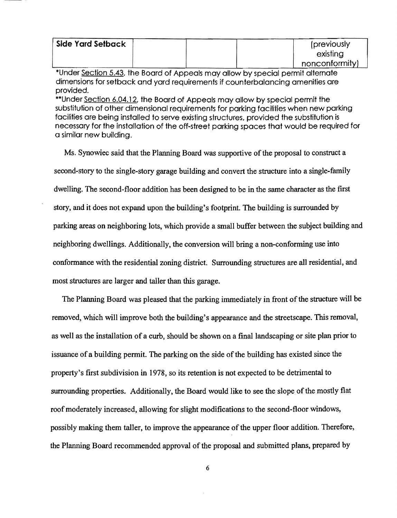| Side Yard Setback |  | (previously)   |
|-------------------|--|----------------|
|                   |  | existing       |
|                   |  | nonconformity) |

\*Under Section 5.43, the Board of Appeals may allow by special permit alternate dimensions for setback and yard requirements if counterbalancing amenities are provided.

\*\*Under Section 6.04.12. the Board of Appeals may allow by special permit the substitution of other dimensional requirements for parking facilities when new parking facilities are being installed to serve existing structures. provided the substitution is necessary for the installation of the off-street parking spaces that would be required for a similar new building.

Ms. Synowiec said that the Planning Board was supportive of the proposal to construct a second-story to the single-story garage building and convert the structure into a single-family dwelling. The second-floor addition has been designed to be in the same character as the first story, and it does not expand upon the building's footprint. The building is surrounded by parking areas on neighboring lots, which provide a small buffer between the subject building and neighboring dwellings. Additionally, the conversion will bring a non-conforming use into conformance with the residential zoning district. Surrounding structures are all residential, and most structures are larger and taller than this garage.

The Planning Board was pleased that the parking immediately in front of the structure will be removed, which will improve both the building's appearance and the streetscape. This removal, as well as the installation of a curb, should be shown on a final landscaping or site plan prior to issuance of a building permit. The parking on the side of the building has existed since the property's first subdivision in 1978, so its retention is not expected to be detrimental to surrounding properties. Additionally, the Board would like to see the slope of the mostly flat. roof moderately increased, allowing for slight modifications to the second-floor windows, possibly making them taller, to improve the appearance of the upper floor addition. Therefore, the Planning Board recommended approval of the proposal and submitted plans, prepared by

6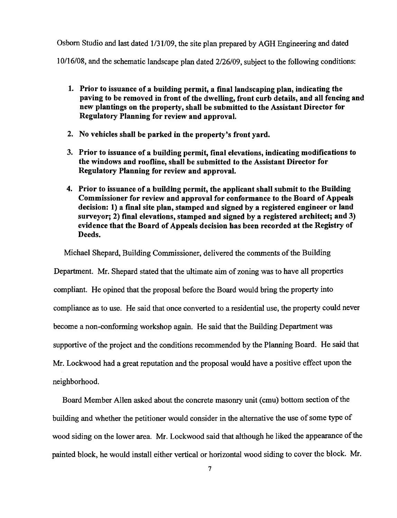Osborn Studio and last dated 1/31/09, the site plan prepared by AGH Engineering and dated 10116/08, and the schematic landscape plan dated 2/26/09, subject to the following conditions:

- 1. Prior to issuance of a building permit, a final landscaping plan, indicating the paving to be removed in front of the dwelling, front curb details, and all fencing and new plantings on the property, shall be submitted to the Assistant Director for Regulatory Planning for review and approval.
- 2. No vehicles shall be parked in the property's front yard.
- 3. Prior to issuance of a building permit, final elevations, indicating modifications to the windows and roofline, shall be submitted to the Assistant Director for Regulatory Planning for review and approval.
- 4. Prior to issuance of a building permit, the applicant shall submit to the Building Commissioner for review and approval for conformance to the Board of Appeals decision: 1) a final site plan, stamped and signed by a registered engineer or land surveyor; 2) final elevations, stamped and signed by a registered architect; and 3) evidence that the Board of Appeals decision has been recorded at the Registry of Deeds.

Michael Shepard, Building Commissioner, delivered the comments of the Building

Department. Mr. Shepard stated that the ultimate aim of zoning was to have all properties compliant. He opined that the proposal before the Board would bring the property into compliance as to use. He said that once converted to a residential use, the property could never become a non-conforming workshop again. He said that the Building Department was supportive of the project and the conditions recommended by the Planning Board. He said that Mr. Lockwood had a great reputation and the proposal would have a positive effect upon the neighborhood.

Board Member Allen asked about the concrete masonry unit (cmu) bottom section of the building and whether the petitioner would consider in the alternative the use of some type of wood siding on the lower area. Mr. Lockwood said that although he liked the appearance of the painted block, he would install either vertical or horizontal wood siding to cover the block. Mr.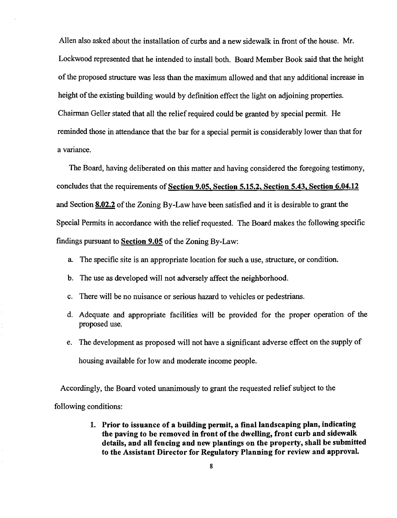Allen also asked about the installation of curbs and a new sidewalk in front of the house. Mr. Lockwood represented that he intended to install both. Board Member Book said that the height of the proposed structure was less than the maximum allowed and that any additional increase in height of the existing building would by definition effect the light on adjoining properties. Chairman Geller stated that all the relief required could be granted by special permit. He reminded those in attendance that the bar for a special permit is considerably lower than that for a variance.

The Board, having deliberated on this matter and having considered the foregoing testimony, concludes that the requirements of Section 9.05, Section 5.15.2, Section 5.43. Section 6.04.12 and Section 8.02.2 of the Zoning By-Law have been satisfied and it is desirable to grant the Special Permits in accordance with the relief requested. The Board makes the following specific findings pursuant to Section 9.05 of the Zoning By-Law:

- a. The specific site is an appropriate location for such a use, structure, or condition.
- b. The use as developed will not adversely affect the neighborhood.
- c. There will be no nuisance or serious hazard to vehicles or pedestrians.
- d. Adequate and appropriate facilities will be provided for the proper operation of the proposed use.
- e. The development as proposed will not have a significant adverse effect on the supply of housing available for low and moderate income people.

Accordingly, the Board voted unanimously to grant the requested relief subject to the following conditions:

> 1. Prior to issuance of a building permit, a final landscaping plan, indicating the paving to be removed in front of the dwelling, front curb and sidewalk details, and all fencing and new plantings on the property, shall be submitted to the Assistant Director for Regulatory Planning for review and approval.